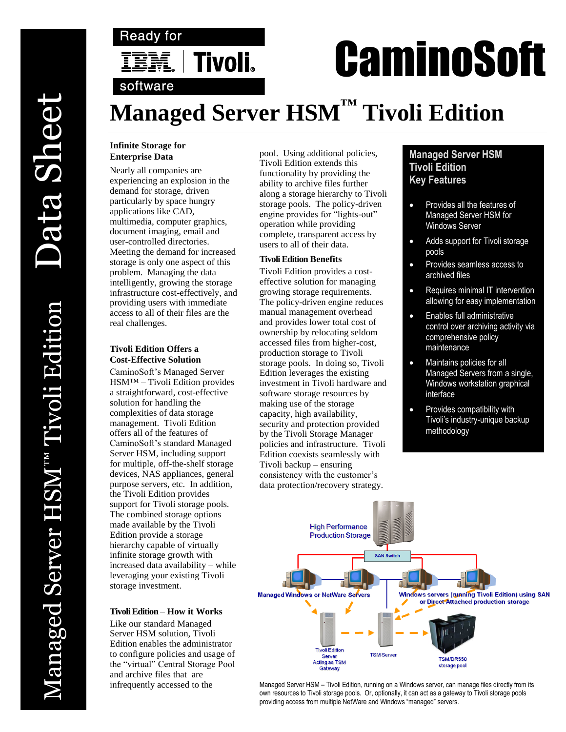

# **CaminoSoft**

# **Managed Server HSM™ Tivoli Edition**

## **Infinite Storage for Enterprise Data**

Nearly all companies are experiencing an explosion in the demand for storage, driven particularly by space hungry applications like CAD, multimedia, computer graphics, document imaging, email and user-controlled directories. Meeting the demand for increased storage is only one aspect of this problem. Managing the data intelligently, growing the storage infrastructure cost-effectively, and providing users with immediate access to all of their files are the real challenges.

## **Tivoli Edition Offers a Cost-Effective Solution**

CaminoSoft's Managed Server HSM™ – Tivoli Edition provides a straightforward, cost-effective solution for handling the complexities of data storage management. Tivoli Edition offers all of the features of CaminoSoft's standard Managed Server HSM, including support for multiple, off-the-shelf storage devices, NAS appliances, general purpose servers, etc. In addition, the Tivoli Edition provides support for Tivoli storage pools. The combined storage options made available by the Tivoli Edition provide a storage hierarchy capable of virtually infinite storage growth with increased data availability – while leveraging your existing Tivoli storage investment.

### **TivoliEdition** – **How it Works**

Like our standard Managed Server HSM solution, Tivoli Edition enables the administrator to configure policies and usage of the "virtual" Central Storage Pool and archive files that are infrequently accessed to the

pool. Using additional policies, Tivoli Edition extends this functionality by providing the ability to archive files further along a storage hierarchy to Tivoli storage pools. The policy-driven engine provides for "lights-out" operation while providing complete, transparent access by users to all of their data.

## **Tivoli Edition Benefits**

Tivoli Edition provides a costeffective solution for managing growing storage requirements. The policy-driven engine reduces manual management overhead and provides lower total cost of ownership by relocating seldom accessed files from higher-cost, production storage to Tivoli storage pools. In doing so, Tivoli Edition leverages the existing investment in Tivoli hardware and software storage resources by making use of the storage capacity, high availability, security and protection provided by the Tivoli Storage Manager policies and infrastructure. Tivoli Edition coexists seamlessly with Tivoli backup – ensuring consistency with the customer's data protection/recovery strategy.

# **Managed Server HSM Tivoli Edition Key Features**

- Provides all the features of Managed Server HSM for Windows Server
- Adds support for Tivoli storage pools
- Provides seamless access to archived files
- Requires minimal IT intervention allowing for easy implementation
- Enables full administrative control over archiving activity via comprehensive policy maintenance
- Maintains policies for all Managed Servers from a single, Windows workstation graphical interface
- Provides compatibility with Tivoli's industry-unique backup methodology



Managed Server HSM – Tivoli Edition, running on a Windows server, can manage files directly from its own resources to Tivoli storage pools. Or, optionally, it can act as a gateway to Tivoli storage pools providing access from multiple NetWare and Windows "managed" servers.